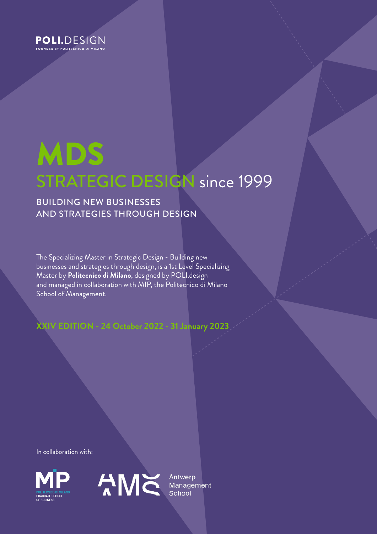

# MDS STRATEGIC DESIGN since 1999

# BUILDING NEW BUSINESSES AND STRATEGIES THROUGH DESIGN

The Specializing Master in Strategic Design - Building new businesses and strategies through design, is a 1st Level Specializing Master by **Politecnico di Milano**, designed by POLI.design and managed in collaboration with MIP, the Politecnico di Milano School of Management.

**XXIV EDITION - 24 October 2022 - 31 January 2023**

In collaboration with:



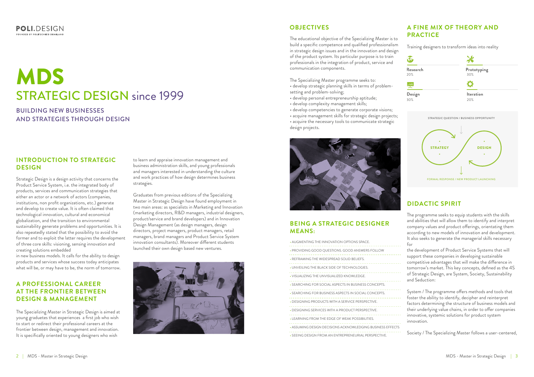#### **POLI.**DESIGN FOUNDED BY POLITECNICO DEMILANO

# MDS STRATEGIC DESIGN since 1999

BUILDING NEW BUSINESSES AND STRATEGIES THROUGH DESIGN

# **INTRODUCTION TO STRATEGIC DESIGN**

# **OBJECTIVES A FINE MIX OF THEORY AND PRACTICE**

# **DIDACTIC SPIRIT**

# **BEING A STRATEGIC DESIGNER MEANS:**

# **A PROFESSIONAL CAREER AT THE FRONTIER BETWEEN DESIGN & MANAGEMENT**

Strategic Design is a design activity that concerns the Product Service System, i.e. the integrated body of products, services and communication strategies that either an actor or a network of actors (companies, institutions, non profit organizations, etc.) generate and develop to create value. It is often claimed that technological innovation, cultural and economical globalization, and the transition to environmental sustainability generate problems and opportunities. It is also repeatedly stated that the possibility to avoid the former and to exploit the latter requires the development of three core skills: visioning, sensing innovation and creating solutions embedded

in new business models. It calls for the ability to design products and services whose success today anticipates what will be, or may have to be, the norm of tomorrow. The educational objective of the Specializing Master is to build a specific competence and qualified professionalism in strategic design issues and in the innovation and design of the product system. Its particular purpose is to train professionals in the integration of product, service and communication components.

The Specializing Master programme seeks to: • develop strategic planning skills in terms of problem-

- setting and problem-solving;
- develop personal entrepreneurship aptitude;
- develop complexity management skills;
- develop competencies to generate corporate visions;

The Specializing Master in Strategic Design is aimed at young graduetes that experiences a first job who wish to start or redirect their professional careers at the frontier between design, management and innovation. It is specifically oriented to young designers who wish

• acquire management skills for strategic design projects; • acquire the necessary tools to communicate strategic design projects.



Training designers to transform ideas into reality

| • AUGMENTING THE INNOVATION OPTIONS SPACE.                 |
|------------------------------------------------------------|
| • PROVIDING GOOD QUESTIONS. GOOD ANSWERS FOLLOW            |
| • REFRAMING THE WIDESPREAD SOLID BELIEFS.                  |
| . UNVEILING THE BLACK SIDE OF TECHNOLOGIES.                |
| . VISUALIZING THE UNVISUALIZED KNOWLEDGE.                  |
| • SEARCHING FOR SOCIAL ASPECTS IN BUSINESS CONCEPTS.       |
| • SEARCHING FOR BUSINESS ASPECTS IN SOCIAL CONCEPTS.       |
| • DESIGNING PRODUCTS WITH A SERVICE PERSPECTIVE.           |
| • DESIGNING SERVICES WITH A PRODUCT PERSPECTIVE.           |
| • LEARNING FROM THE EDGE OF WEAK POSSIBILITIES.            |
| • ASSUMING DESIGN DECISIONS ACKNOWLEDGING BUSINESS EFFECTS |
| . SEEING DESIGN FROM AN ENTREPRENEURIAL PERSPECTIVE.       |

The programme seeks to equip students with the skills and abilities that will allow them to identify and interpret company values and product offerings, orientating them according to new models of innovation and development. It also seeks to generate the managerial skills necessary for

the development of Product Service Systems that will support these companies in developing sustainable competitive advantages that will make the difference in tomorrow's market. This key concepts, defined as the 4S of Strategic Design, are System, Society, Sustainability and Seduction:

System / The programme offers methods and tools that foster the ability to identify, decipher and reinterpret factors determining the structure of business models and their underlying value chains, in order to offer companies innovative, systemic solutions for product system innovation.

Society / The Specializing Master follows a user-centered,

to learn and appraise innovation management and business administration skills, and young professionals and managers interested in understanding the culture and work practices of how design determines business strategies.

Graduates from previous editions of the Specializing Master in Strategic Design have found employment in two main areas: as specialists in Marketing and Innovation (marketing directors, R&D managers, industrial designers, product/service and brand developers) and in Innovation Design Management (as design managers, design directors, project managers, product managers, retail managers, brand managers and Product Service System innovation consultants). Moreover different students launched their own design based new ventures.



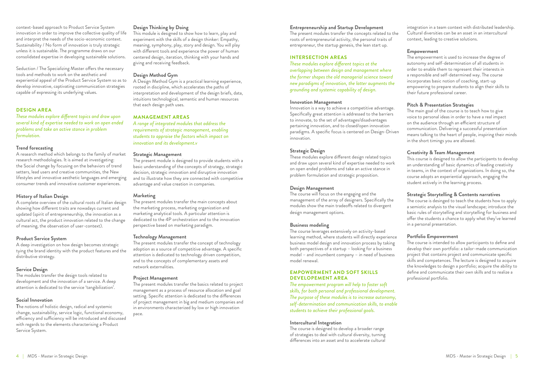#### **DESIGN AREA**

*These modules explore different topics and draw upon several kind of expertise needed to work on open ended problems and take an active stance in problem formulation.*

#### **Trend forecasting**

A research method which belongs to the family of market research methodologies. It is aimed at investigating: the Social change by focusing on the behaviors of trend setters, lead users and creative communities, the New lifestyles and innovative aesthetic languages and emerging consumer trends and innovative customer experiences.

#### **History of Italian Design**

A complete overview of the cultural roots of Italian design showing how different traits are nowadays current and updated (spirit of entrepreneurship, the innovation as a cultural act, the product innovation related to the change of meaning, the observation of user-context).

#### **Product Service System**

A deep investigation on how design becomes strategic tying the brand identity with the product features and the distributive strategy.

#### **Service Design**

The modules transfer the design tools related to development and the innovation of a service. A deep attention is dedicated to the service 'tangibilization'.

#### **Social Innovation**

**T**he notions of holistic design, radical and systemic change, sustainability, service logic, functional economy, efficiency and sufficiency will be introduced and discussed with regards to the elements characterising a Product Service System.

#### **Design Thinking by Doing**

This module is designed to show how to learn, play and experiment with the skills of a design thinker: Empathy, meaning, symphony, play, story and design. You will play with different tools and experience the power of human centered design, iteration, thinking with your hands and giving and receiving feedback.

#### **Design Method Gym**

A Design Method Gym is a practical learning experience, rooted in discipline, which accelerates the paths of interpretation and development of the design briefs, data, intuitions technological, semantic and human resources that each design path uses.

#### **MANAGEMENT AREAS**

*A range of integrated modules that address the requirements of strategic management, enabling students to appraise the factors which impact on innovation and its development.v*

#### **Strategic Management**

The present module is designed to provide students with a basic understanding of the concepts of strategy, strategic decision, strategic innovation and disruptive innovation and to illustrate how they are connected with competitive advantage and value creation in companies.

#### **Marketing**

The present modules transfer the main concepts about the marketing process, marketing organization and marketing analytical tools. A particular attention is dedicated to the 4P orchestration and to the innovation perspective based on marketing paradigm.

#### **Technology Management**

The present modules transfer the concept of technology adoption as a source of competitive advantage. A specific attention is dedicated to technology driven competition, and to the concepts of complementary assets and network externalities.

#### **Project Management**

The present modules transfer the basics related to project management as a process of resource allocation and goal setting. Specific attention is dedicated to the differences of project management in big and medium companies and in environments characterized by low or high innovation pace.

#### **Entrepreneurship and Startup Development**

The present modules transfer the concepts related to the roots of entrepreneurial activity, the personal traits of entrepreneur, the startup genesis, the lean start up.

#### **INTERSECTION AREAS**

*These modules explore different topics at the overlapping between design and management where the former shapes the old managerial science toward new paradigms of innovation, the latter augments the grounding and systemic capability of design.*

#### **Innovation Management**

Innovation is a way to achieve a competitive advantage. Specifically great attention is addressed to the barriers to innovate, to the set of advantages/disadvantages pertaining innovation, and to closed/open innovation paradigms. A specific focus is centered on Design-Driven innovation.

#### **Strategic Design**

These modules explore different design related topics and draw upon several kind of expertise needed to work on open ended problems and take an active stance in problem formulation and strategic proposition.

#### **Design Management**

The course will focus on the engaging and the management of the array of designers. Specifically the modules show the main tradeoffs related to divergent design management options.

#### **Business modeling**

The course leverages extensively on activity-based learning method, where students will directly experience business model design and innovation process by taking both perspectives of a startup – looking for a business model – and incumbent company – in need of business model renewal.

#### **EMPOWERMENT AND SOFT SKILLS DEVELOPEMENT AREA**

*The empowerment program will help to foster soft skills, for both personal and professional development. The purpose of these modules is to increase autonomy, self-determination and communication skills, to enable students to achieve their professional goals.*

#### **Intercultural Integration**

The course is designed to develop a broader range of strategies to deal with cultural diversity, turning differences into an asset and to accelerate cultural

integration in a team context with distributed leadership. Cultural diversities can be an asset in an intercultural context, leading to creative solutions.

#### **Empowerment**

The empowerment is used to increase the degree of autonomy and self-determination of all students in order to enable them to represent their interests in a responsible and self-determined way. The course incorporates basic notion of coaching, start-up empowering to prepare students to align their skills to their future professional career.

#### **Pitch & Presentation Strategies**

The main goal of the course is to teach how to give voice to personal ideas in order to have a real impact on the audience through an efficient structure of communication. Delivering a successful presentation means talking to the heart of people, inspiring their minds in the short timings you are allowed.

### **Creativity & Team Management**

This course is designed to allow the participants to develop an understanding of basic dynamics of leading creativity in teams, in the context of organizations. In doing so, the course adopts an experiential approach, engaging the student actively in the learning process.

#### **Strategic Storytelling & Contents narratives**

The course is desinged to teach the students how to apply a semiotic analysis to the visual landscape; introduce the basic rules of storytelling and storytelling for business and offer the students a chance to apply what they've learned in a personal presentation.

#### **Portfolio Empowerment**

The course is intended to allow participants to define and develop their own portfolio: a tailor-made communication project that contains project and communicate specific skills and competences. The lecture is designed to acquire the knowledges to design a portfolio; acquire the ability to define and communicate their own skills and to realize a professional portfolio.

context-based approach to Product Service System innovation in order to improve the collective quality of life and interpret the needs of the socio-economic context. Sustainability / No form of innovation is truly strategic unless it is sustainable. The programme draws on our consolidated expertise in developing sustainable solutions.

Seduction / The Specializing Master offers the necessary tools and methods to work on the aesthetic and experiential appeal of the Product Service System so as to develop innovative, captivating communication strategies capable of expressing its underlying values.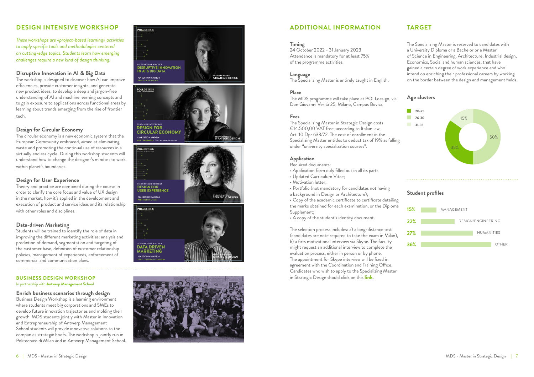









#### **Timing**

24 October 2022 - 31 January 2023 Attendance is mandatory for at least 75% of the programme activities.

#### **Language**

The Specializing Master is entirely taught in English.

#### **Place**

The MDS programme will take place at POLI.design, via Don Giovanni Verità 25, Milano, Campus Bovisa.

#### **Fees**

The Specializing Master in Strategic Design costs €14.500,00 VAT free, according to Italian law, Art. 10 Dpr 633/72. The cost of enrollment in the Specializing Master entitles to deduct tax of 19% as falling under "university specialization courses".

#### **Application**

Required documents:

- Application form duly filled out in all its parts
- Updated Curriculum Vitae;
- Motivation letter;
- Portfolio (not mandatory for candidates not having
- a background in Design or Architecture);

• Copy of the academic certificate to certificate detailing the marks obtained for each examination, or the Diploma Supplement;

• A copy of the student's identity document.

The selection process includes: a) a long-distance test (candidates are note required to take the exam in Milan), b) a firts motivational interview via Skype. The faculty might request an additional interview to complete the evaluation process, either in person or by phone. The appointment for Skype interview will be fixed in agreement with the Coordination and Training Office. Candidates who wish to apply to the Specializing Master in Strategic Design should click on this **[link](https://www.polidesign.net/en/member-login/?candidatura&redirect_to=https://www.polidesign.net/en/candidatura/?courseID=POLID_5fce35d54a7bd)** .

The Specializing Master is reserved to candidates with a University Diploma or a Bachelor or a Master of Science in Engineering, Architecture, Industrial design, Economics, Social and human sciences, that have gained a certain degree of work experience and who intend on enriching their professional careers by working on the border between the design and management fields.

## **Disruptive Innovation in AI & Big Data**

The workshop is designed to discover how AI can improve efficiencies, provide customer insights, and generate new product ideas, to develop a deep and jargon-free understanding of AI and machine learning concepts and to gain exposure to applications across functional areas by learning about trends emerging from the rise of frontier tech.

# **Design for Circular Economy**

The circular economy is a new economic system that the European Community embraced, aimed at eliminating waste and promoting the continual use of resources in a virtually endless cycle. During this workshop students will understand how to change the designer's mindset to work within planet's boundaries.

## **Design for User Experience**

Theory and practice are combined during the course in order to clarify the core focus and value of UX design in the market, how it's applied in the development and execution of product and service ideas and its relationship with other roles and disciplines.

## **Data-driven Marketing**

Students will be trained to identify the role of data in improving the different marketing activities: analysis and prediction of demand, segmentation and targeting of the customer base, definition of customer relationship policies, management of experiences, enforcement of commercial and communication plans.

*These workshops are «project-based learning» activities to apply specific tools and methodologies centered on cutting-edge topics. Students learn how emerging challenges require a new kind of design thinking.*

## **Student profiles**





## **BUSINESS DESIGN WORKSHOP**

In partnership with **Antwerp Management School**

# **Enrich business scenarios through design**

Business Design Workshop is a learning environment where students meet big corporations and SMEs to develop future innovation trajectories and molding their growth. MDS students jointly with Master in Innovation and Entrepreneurship of Antwerp Management School students will provide innovative solutions to the companies strategic briefs. The workshop is jointly run in Politecnico di Milan and in Antwerp Management School.